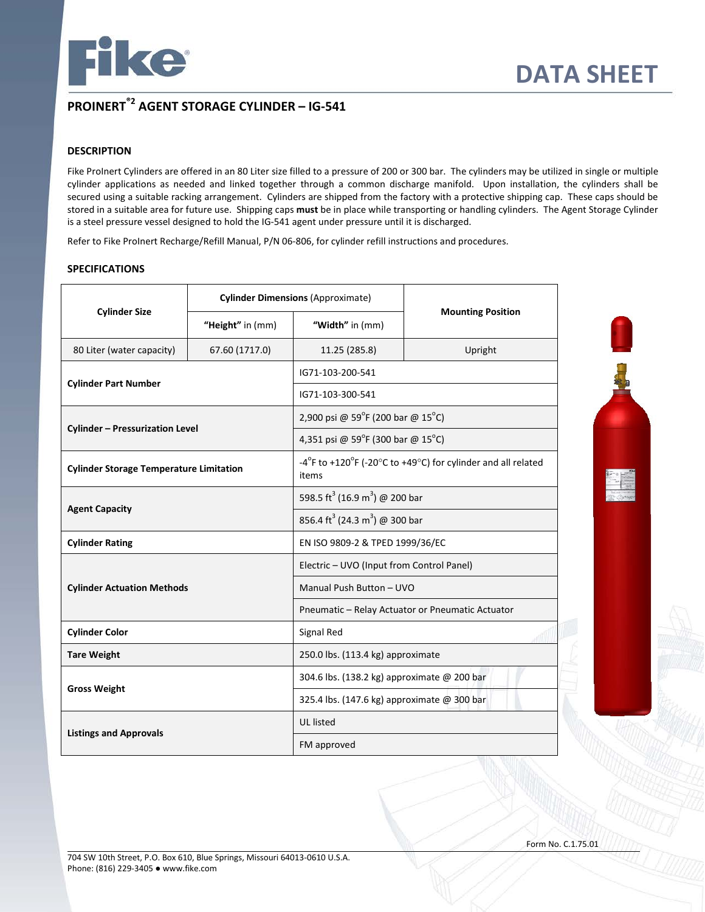

# **PROINERT®2 AGENT STORAGE CYLINDER – IG-541**

# **DESCRIPTION**

Fike ProInert Cylinders are offered in an 80 Liter size filled to a pressure of 200 or 300 bar. The cylinders may be utilized in single or multiple cylinder applications as needed and linked together through a common discharge manifold. Upon installation, the cylinders shall be secured using a suitable racking arrangement. Cylinders are shipped from the factory with a protective shipping cap. These caps should be stored in a suitable area for future use. Shipping caps **must** be in place while transporting or handling cylinders. The Agent Storage Cylinder is a steel pressure vessel designed to hold the IG-541 agent under pressure until it is discharged.

Refer to Fike ProInert Recharge/Refill Manual, P/N 06-806, for cylinder refill instructions and procedures.

## **SPECIFICATIONS**

|                                                | <b>Cylinder Dimensions (Approximate)</b> |                                                        |                                                              |
|------------------------------------------------|------------------------------------------|--------------------------------------------------------|--------------------------------------------------------------|
| <b>Cylinder Size</b>                           | "Height" in (mm)                         | "Width" in (mm)                                        | <b>Mounting Position</b>                                     |
| 80 Liter (water capacity)                      | 67.60 (1717.0)                           | 11.25 (285.8)                                          | Upright                                                      |
|                                                |                                          | IG71-103-200-541                                       |                                                              |
| <b>Cylinder Part Number</b>                    |                                          | IG71-103-300-541                                       |                                                              |
|                                                |                                          | 2,900 psi @ 59°F (200 bar @ 15°C)                      |                                                              |
| <b>Cylinder - Pressurization Level</b>         |                                          | 4,351 psi @ 59°F (300 bar @ 15°C)                      |                                                              |
| <b>Cylinder Storage Temperature Limitation</b> |                                          | items                                                  | -4°F to +120°F (-20°C to +49°C) for cylinder and all related |
|                                                |                                          | 598.5 ft <sup>3</sup> (16.9 m <sup>3</sup> ) @ 200 bar |                                                              |
| <b>Agent Capacity</b>                          |                                          | 856.4 ft <sup>3</sup> (24.3 m <sup>3</sup> ) @ 300 bar |                                                              |
| <b>Cylinder Rating</b>                         |                                          | EN ISO 9809-2 & TPED 1999/36/EC                        |                                                              |
|                                                |                                          | Electric - UVO (Input from Control Panel)              |                                                              |
| <b>Cylinder Actuation Methods</b>              |                                          | Manual Push Button - UVO                               |                                                              |
|                                                |                                          |                                                        | Pneumatic - Relay Actuator or Pneumatic Actuator             |
| <b>Cylinder Color</b>                          |                                          | Signal Red                                             |                                                              |
| <b>Tare Weight</b>                             |                                          | 250.0 lbs. (113.4 kg) approximate                      |                                                              |
|                                                |                                          | 304.6 lbs. (138.2 kg) approximate @ 200 bar            |                                                              |
| <b>Gross Weight</b>                            |                                          | 325.4 lbs. (147.6 kg) approximate @ 300 bar            |                                                              |
|                                                |                                          | <b>UL</b> listed                                       |                                                              |
| <b>Listings and Approvals</b>                  |                                          | FM approved                                            |                                                              |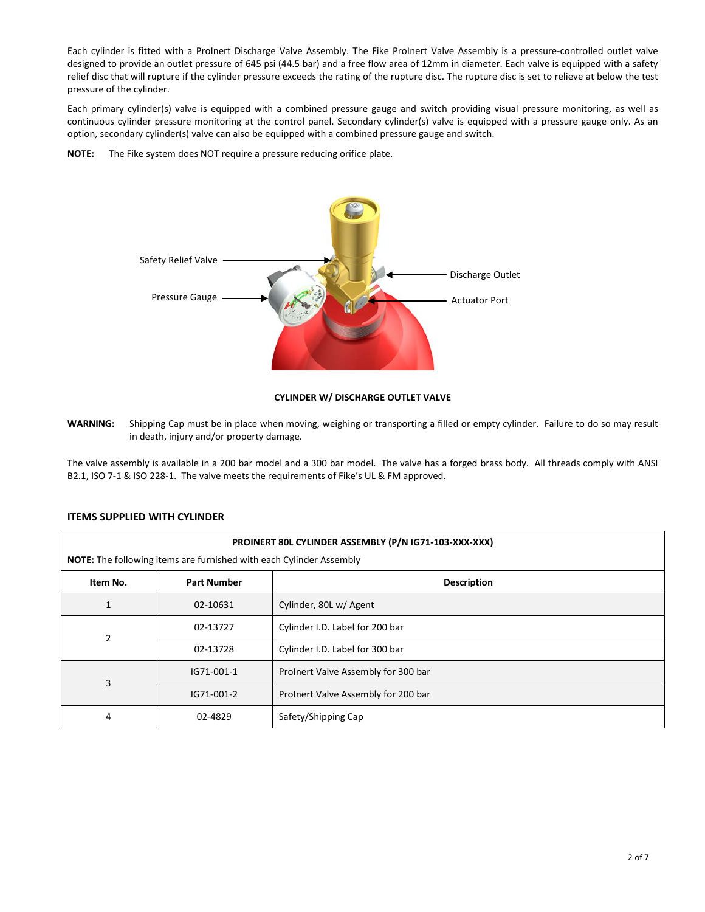Each cylinder is fitted with a ProInert Discharge Valve Assembly. The Fike ProInert Valve Assembly is a pressure-controlled outlet valve designed to provide an outlet pressure of 645 psi (44.5 bar) and a free flow area of 12mm in diameter. Each valve is equipped with a safety relief disc that will rupture if the cylinder pressure exceeds the rating of the rupture disc. The rupture disc is set to relieve at below the test pressure of the cylinder.

Each primary cylinder(s) valve is equipped with a combined pressure gauge and switch providing visual pressure monitoring, as well as continuous cylinder pressure monitoring at the control panel. Secondary cylinder(s) valve is equipped with a pressure gauge only. As an option, secondary cylinder(s) valve can also be equipped with a combined pressure gauge and switch.

**NOTE:** The Fike system does NOT require a pressure reducing orifice plate.



### **CYLINDER W/ DISCHARGE OUTLET VALVE**

**WARNING:** Shipping Cap must be in place when moving, weighing or transporting a filled or empty cylinder. Failure to do so may result in death, injury and/or property damage.

The valve assembly is available in a 200 bar model and a 300 bar model. The valve has a forged brass body. All threads comply with ANSI B2.1, ISO 7-1 & ISO 228-1. The valve meets the requirements of Fike's UL & FM approved.

### **ITEMS SUPPLIED WITH CYLINDER**

|                | PROINERT 80L CYLINDER ASSEMBLY (P/N IG71-103-XXX-XXX)<br><b>NOTE:</b> The following items are furnished with each Cylinder Assembly |                                     |  |  |
|----------------|-------------------------------------------------------------------------------------------------------------------------------------|-------------------------------------|--|--|
| Item No.       | <b>Part Number</b>                                                                                                                  | <b>Description</b>                  |  |  |
|                | 02-10631                                                                                                                            | Cylinder, 80L w/ Agent              |  |  |
| $\overline{2}$ | 02-13727                                                                                                                            | Cylinder I.D. Label for 200 bar     |  |  |
|                | 02-13728                                                                                                                            | Cylinder I.D. Label for 300 bar     |  |  |
| 3              | IG71-001-1                                                                                                                          | Prolnert Valve Assembly for 300 bar |  |  |
|                | IG71-001-2                                                                                                                          | ProInert Valve Assembly for 200 bar |  |  |
| 4              | 02-4829                                                                                                                             | Safety/Shipping Cap                 |  |  |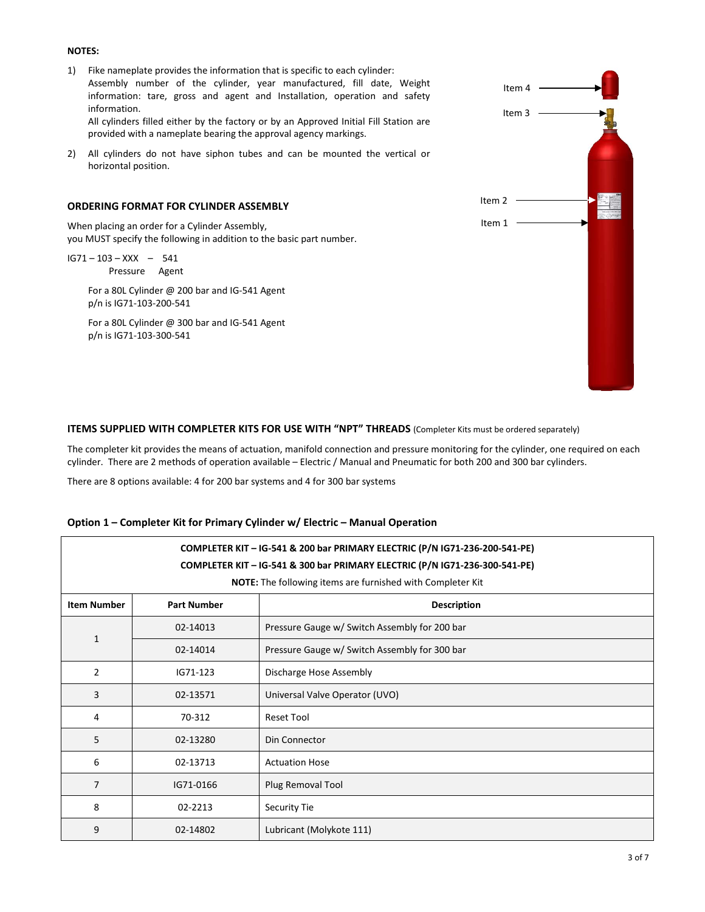### **NOTES:**

- 1) Fike nameplate provides the information that is specific to each cylinder: Assembly number of the cylinder, year manufactured, fill date, Weight information: tare, gross and agent and Installation, operation and safety information. All cylinders filled either by the factory or by an Approved Initial Fill Station are provided with a nameplate bearing the approval agency markings.
- 2) All cylinders do not have siphon tubes and can be mounted the vertical or horizontal position.

### **ORDERING FORMAT FOR CYLINDER ASSEMBLY**

When placing an order for a Cylinder Assembly, you MUST specify the following in addition to the basic part number.

IG71 – 103 – XXX – 541 Pressure Agent

> For a 80L Cylinder @ 200 bar and IG-541 Agent p/n is IG71-103-200-541

> For a 80L Cylinder @ 300 bar and IG-541 Agent p/n is IG71-103-300-541



### **ITEMS SUPPLIED WITH COMPLETER KITS FOR USE WITH "NPT" THREADS** (Completer Kits must be ordered separately)

The completer kit provides the means of actuation, manifold connection and pressure monitoring for the cylinder, one required on each cylinder. There are 2 methods of operation available – Electric / Manual and Pneumatic for both 200 and 300 bar cylinders.

There are 8 options available: 4 for 200 bar systems and 4 for 300 bar systems

| COMPLETER KIT - IG-541 & 200 bar PRIMARY ELECTRIC (P/N IG71-236-200-541-PE)<br>COMPLETER KIT - IG-541 & 300 bar PRIMARY ELECTRIC (P/N IG71-236-300-541-PE)<br>NOTE: The following items are furnished with Completer Kit |                    |                                               |
|--------------------------------------------------------------------------------------------------------------------------------------------------------------------------------------------------------------------------|--------------------|-----------------------------------------------|
| <b>Item Number</b>                                                                                                                                                                                                       | <b>Part Number</b> | <b>Description</b>                            |
|                                                                                                                                                                                                                          | 02-14013           | Pressure Gauge w/ Switch Assembly for 200 bar |
| $\mathbf{1}$                                                                                                                                                                                                             | 02-14014           | Pressure Gauge w/ Switch Assembly for 300 bar |
| 2                                                                                                                                                                                                                        | IG71-123           | Discharge Hose Assembly                       |
| 3                                                                                                                                                                                                                        | 02-13571           | Universal Valve Operator (UVO)                |
| 4                                                                                                                                                                                                                        | 70-312             | <b>Reset Tool</b>                             |
| 5                                                                                                                                                                                                                        | 02-13280           | Din Connector                                 |
| 6                                                                                                                                                                                                                        | 02-13713           | <b>Actuation Hose</b>                         |
| $\overline{7}$                                                                                                                                                                                                           | IG71-0166          | Plug Removal Tool                             |
| 8                                                                                                                                                                                                                        | 02-2213            | Security Tie                                  |
| 9                                                                                                                                                                                                                        | 02-14802           | Lubricant (Molykote 111)                      |

#### **Option 1 – Completer Kit for Primary Cylinder w/ Electric – Manual Operation**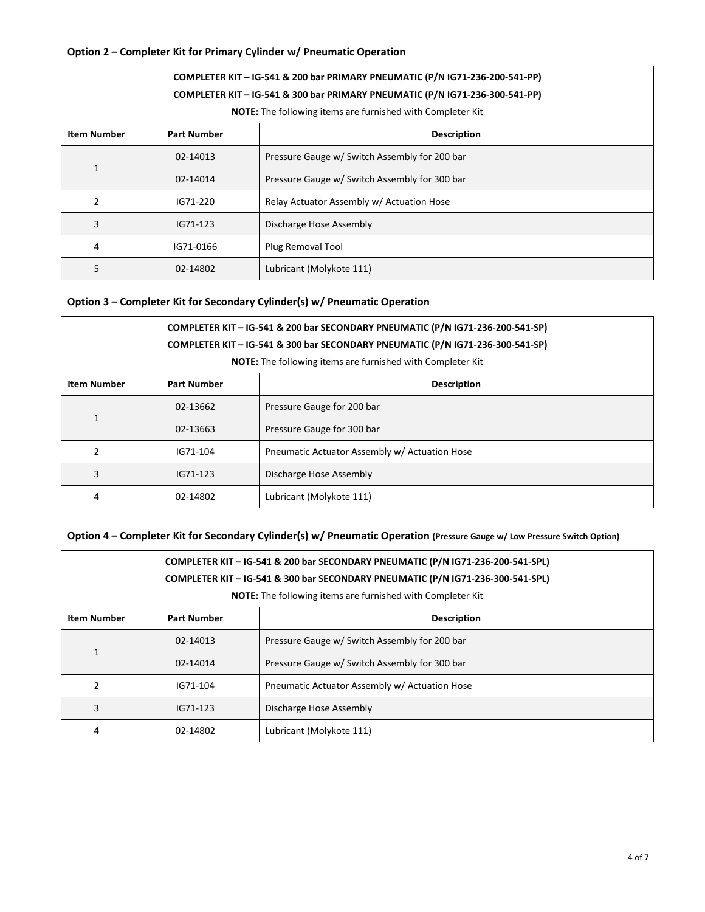# **Option 2 – Completer Kit for Primary Cylinder w/ Pneumatic Operation**

| COMPLETER KIT - IG-541 & 200 bar PRIMARY PNEUMATIC (P/N IG71-236-200-541-PP)<br>COMPLETER KIT - IG-541 & 300 bar PRIMARY PNEUMATIC (P/N IG71-236-300-541-PP)<br><b>NOTE:</b> The following items are furnished with Completer Kit |                    |                                               |  |
|-----------------------------------------------------------------------------------------------------------------------------------------------------------------------------------------------------------------------------------|--------------------|-----------------------------------------------|--|
| <b>Item Number</b>                                                                                                                                                                                                                | <b>Part Number</b> | <b>Description</b>                            |  |
| $\mathbf{1}$                                                                                                                                                                                                                      | 02-14013           | Pressure Gauge w/ Switch Assembly for 200 bar |  |
|                                                                                                                                                                                                                                   | 02-14014           | Pressure Gauge w/ Switch Assembly for 300 bar |  |
| 2                                                                                                                                                                                                                                 | IG71-220           | Relay Actuator Assembly w/ Actuation Hose     |  |
| 3                                                                                                                                                                                                                                 | IG71-123           | Discharge Hose Assembly                       |  |
| 4                                                                                                                                                                                                                                 | IG71-0166          | Plug Removal Tool                             |  |
| 5                                                                                                                                                                                                                                 | 02-14802           | Lubricant (Molykote 111)                      |  |

# **Option 3 – Completer Kit for Secondary Cylinder(s) w/ Pneumatic Operation**

| COMPLETER KIT - IG-541 & 200 bar SECONDARY PNEUMATIC (P/N IG71-236-200-541-SP)<br>COMPLETER KIT - IG-541 & 300 bar SECONDARY PNEUMATIC (P/N IG71-236-300-541-SP)<br>NOTE: The following items are furnished with Completer Kit |                    |                                               |  |
|--------------------------------------------------------------------------------------------------------------------------------------------------------------------------------------------------------------------------------|--------------------|-----------------------------------------------|--|
| <b>Item Number</b>                                                                                                                                                                                                             | <b>Part Number</b> | <b>Description</b>                            |  |
| $\mathbf{1}$                                                                                                                                                                                                                   | 02-13662           | Pressure Gauge for 200 bar                    |  |
|                                                                                                                                                                                                                                | 02-13663           | Pressure Gauge for 300 bar                    |  |
| $\overline{2}$                                                                                                                                                                                                                 | IG71-104           | Pneumatic Actuator Assembly w/ Actuation Hose |  |
| 3                                                                                                                                                                                                                              | IG71-123           | Discharge Hose Assembly                       |  |
| 4                                                                                                                                                                                                                              | 02-14802           | Lubricant (Molykote 111)                      |  |

# **Option 4 – Completer Kit for Secondary Cylinder(s) w/ Pneumatic Operation (Pressure Gauge w/ Low Pressure Switch Option)**

| COMPLETER KIT - IG-541 & 200 bar SECONDARY PNEUMATIC (P/N IG71-236-200-541-SPL)<br>COMPLETER KIT - IG-541 & 300 bar SECONDARY PNEUMATIC (P/N IG71-236-300-541-SPL)<br><b>NOTE:</b> The following items are furnished with Completer Kit |                    |                                               |  |
|-----------------------------------------------------------------------------------------------------------------------------------------------------------------------------------------------------------------------------------------|--------------------|-----------------------------------------------|--|
| <b>Item Number</b>                                                                                                                                                                                                                      | <b>Part Number</b> | <b>Description</b>                            |  |
| 1                                                                                                                                                                                                                                       | 02-14013           | Pressure Gauge w/ Switch Assembly for 200 bar |  |
|                                                                                                                                                                                                                                         | 02-14014           | Pressure Gauge w/ Switch Assembly for 300 bar |  |
| $\mathfrak{p}$                                                                                                                                                                                                                          | IG71-104           | Pneumatic Actuator Assembly w/ Actuation Hose |  |
| 3                                                                                                                                                                                                                                       | IG71-123           | Discharge Hose Assembly                       |  |
| 4                                                                                                                                                                                                                                       | 02-14802           | Lubricant (Molykote 111)                      |  |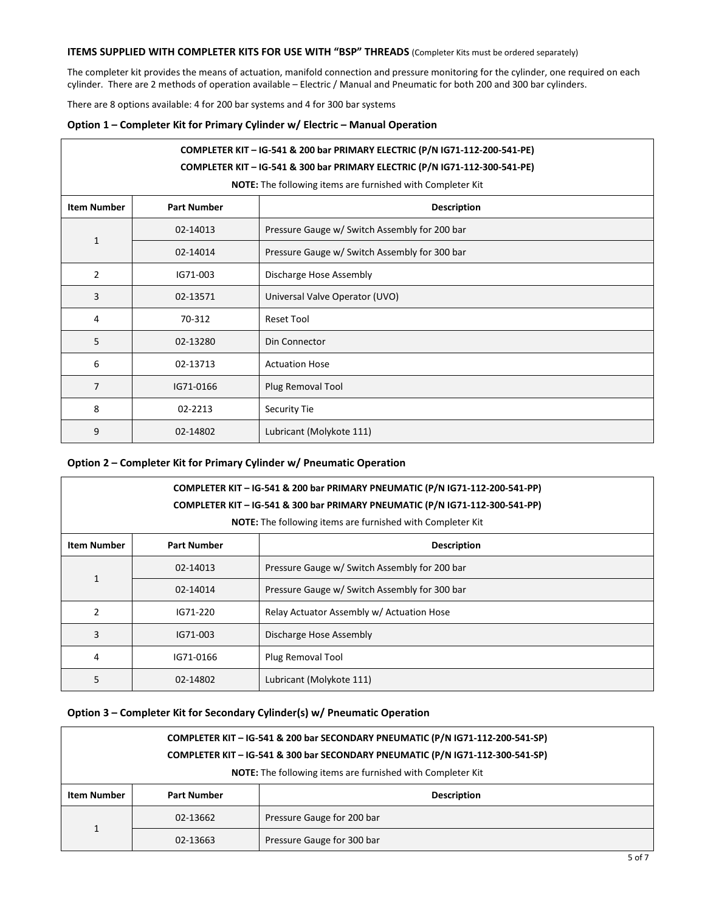## **ITEMS SUPPLIED WITH COMPLETER KITS FOR USE WITH "BSP" THREADS** (Completer Kits must be ordered separately)

The completer kit provides the means of actuation, manifold connection and pressure monitoring for the cylinder, one required on each cylinder. There are 2 methods of operation available – Electric / Manual and Pneumatic for both 200 and 300 bar cylinders.

There are 8 options available: 4 for 200 bar systems and 4 for 300 bar systems

#### **Option 1 – Completer Kit for Primary Cylinder w/ Electric – Manual Operation**

# **COMPLETER KIT – IG-541 & 200 bar PRIMARY ELECTRIC (P/N IG71-112-200-541-PE)**

### **COMPLETER KIT – IG-541 & 300 bar PRIMARY ELECTRIC (P/N IG71-112-300-541-PE)**

**NOTE:** The following items are furnished with Completer Kit

| <b>Item Number</b> | <b>Part Number</b> | <b>Description</b>                            |  |
|--------------------|--------------------|-----------------------------------------------|--|
|                    | 02-14013           | Pressure Gauge w/ Switch Assembly for 200 bar |  |
| $\mathbf{1}$       | 02-14014           | Pressure Gauge w/ Switch Assembly for 300 bar |  |
| $\overline{2}$     | IG71-003           | Discharge Hose Assembly                       |  |
| 3                  | 02-13571           | Universal Valve Operator (UVO)                |  |
| 4                  | 70-312             | <b>Reset Tool</b>                             |  |
| 5                  | 02-13280           | Din Connector                                 |  |
| 6                  | 02-13713           | <b>Actuation Hose</b>                         |  |
| 7                  | IG71-0166          | Plug Removal Tool                             |  |
| 8                  | 02-2213            | Security Tie                                  |  |
| 9                  | 02-14802           | Lubricant (Molykote 111)                      |  |

## **Option 2 – Completer Kit for Primary Cylinder w/ Pneumatic Operation**

| COMPLETER KIT - IG-541 & 200 bar PRIMARY PNEUMATIC (P/N IG71-112-200-541-PP)<br>COMPLETER KIT - IG-541 & 300 bar PRIMARY PNEUMATIC (P/N IG71-112-300-541-PP)<br><b>NOTE:</b> The following items are furnished with Completer Kit |                    |                                               |  |
|-----------------------------------------------------------------------------------------------------------------------------------------------------------------------------------------------------------------------------------|--------------------|-----------------------------------------------|--|
| <b>Item Number</b>                                                                                                                                                                                                                | <b>Part Number</b> | <b>Description</b>                            |  |
|                                                                                                                                                                                                                                   | 02-14013           | Pressure Gauge w/ Switch Assembly for 200 bar |  |
| $\mathbf{1}$                                                                                                                                                                                                                      | 02-14014           | Pressure Gauge w/ Switch Assembly for 300 bar |  |
| 2                                                                                                                                                                                                                                 | IG71-220           | Relay Actuator Assembly w/ Actuation Hose     |  |
| 3                                                                                                                                                                                                                                 | IG71-003           | Discharge Hose Assembly                       |  |
| 4                                                                                                                                                                                                                                 | IG71-0166          | Plug Removal Tool                             |  |
| 5                                                                                                                                                                                                                                 | 02-14802           | Lubricant (Molykote 111)                      |  |

# **Option 3 – Completer Kit for Secondary Cylinder(s) w/ Pneumatic Operation**

|                                                                   | COMPLETER KIT - IG-541 & 200 bar SECONDARY PNEUMATIC (P/N IG71-112-200-541-SP) |                            |  |
|-------------------------------------------------------------------|--------------------------------------------------------------------------------|----------------------------|--|
|                                                                   | COMPLETER KIT - IG-541 & 300 bar SECONDARY PNEUMATIC (P/N IG71-112-300-541-SP) |                            |  |
| <b>NOTE:</b> The following items are furnished with Completer Kit |                                                                                |                            |  |
| <b>Item Number</b>                                                | <b>Part Number</b>                                                             | <b>Description</b>         |  |
|                                                                   | 02-13662                                                                       | Pressure Gauge for 200 bar |  |
|                                                                   | 02-13663                                                                       | Pressure Gauge for 300 bar |  |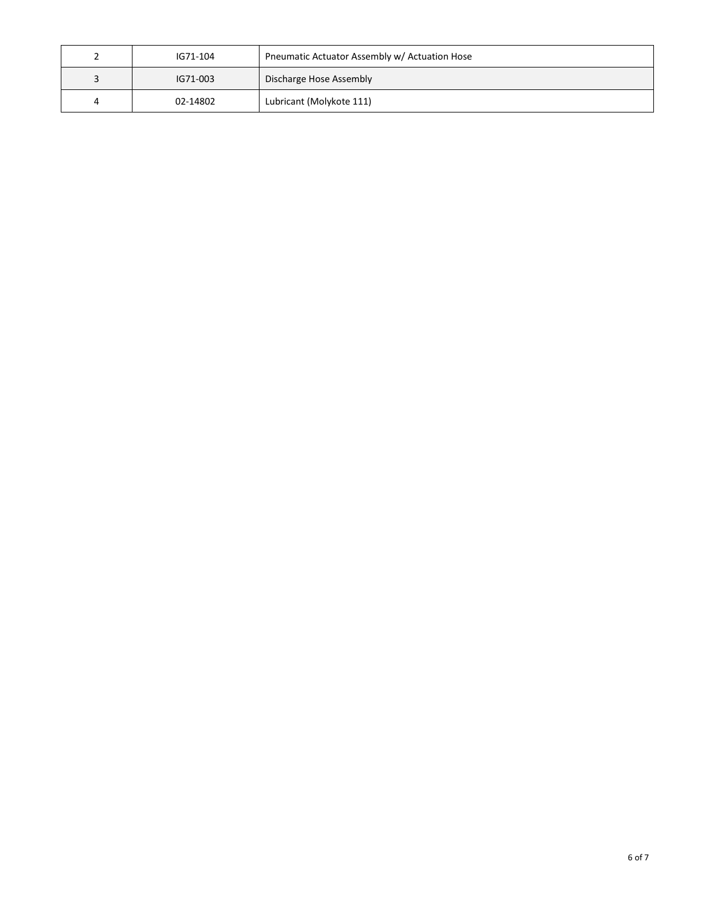| ∼ | IG71-104 | Pneumatic Actuator Assembly w/ Actuation Hose |
|---|----------|-----------------------------------------------|
| 3 | IG71-003 | Discharge Hose Assembly                       |
| 4 | 02-14802 | Lubricant (Molykote 111)                      |